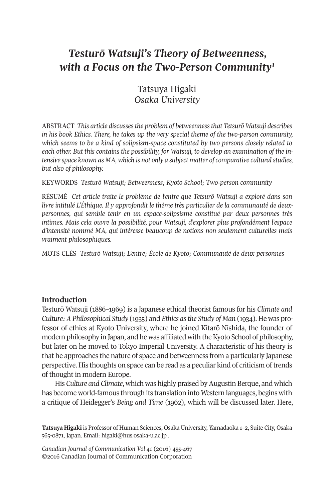# *Testurō Watsuji's Theory of Betweenness, with a Focus on the Two-Person Communit[y1](#page-12-0)*

Tatsuya Higaki *Osaka University*

AbsTrAcT *This article discussesthe problem of betweennessthat Tetsurō Watsuji describes in his book Ethics. There, he takes up the very special theme of the two-person community, which seems to be a kind of solipsism-space constituted by two persons closely related to each other. But this contains the possibility, for Watsuji, to develop an examination of the intensive space known as MA, which is not only a subject matter of comparative culturalstudies, but also of philosophy.*

KEYWOrDs *Testurō Watsuji; Betweenness; Kyoto School; Two-person community*

rÉsUMÉ *Cet article traite le problème de l'entre que Tetsurō Watsuji a exploré dans son livre intitulé L'Éthique. Il y approfondit le thème très particulier de la communauté de deuxpersonnes, qui semble tenir en un espace-solipsisme constitué par deux personnes très intimes. Mais cela ouvre la possibilité, pour Watsuji, d'explorer plus profondément l'espace d'intensité nommé MA, qui intéresse beaucoup de notions non seulement culturelles mais vraiment philosophiques.*

MOTs cLÉs *Testurō Watsuji; L'entre; École de Kyoto; Communauté de deux-personnes*

## **Introduction**

Testurō Watsuji (1886–1969) is a Japanese ethical theorist famous for his *Climate and Culture: A Philosophical Study* (1935) and *Ethics asthe Study of Man* (1934). He was professor of ethics at Kyoto University, where he joined Kitarō Nishida, the founder of modern philosophy in Japan, and he was affiliated with the Kyoto School of philosophy, but later on he moved to Tokyo Imperial University. A characteristic of his theory is that he approaches the nature of space and betweenness from a particularly Japanese perspective. His thoughts on space can be read as a peculiar kind of criticism of trends of thought in modern Europe.

His *Culture and Climate*, which was highly praised byAugustin berque, and which has become world-famous through its translation into Western languages, begins with a critique of Heidegger's *Being and Time* (1962), which will be discussed later. Here,

**Tatsuya Higaki** is Professor of Human sciences, Osaka University, Yamadaoka 1–2, suite city, Osaka 565-0871, Japan. Email: [higaki@hus.osaka-u.ac.jp](mailto:higaki@hus.osaka-u.ac.jp) .

*Canadian Journal of [Communication](http://www.cjc-online.ca) Vol 41* (2016) 455-467 ©2016 canadian Journal of communication corporation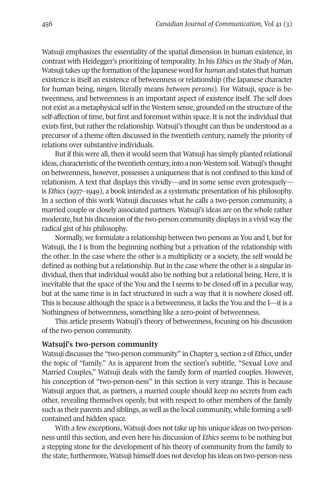Watsuji emphasizes the essentiality of the spatial dimension in human existence, in contrast with Heidegger's prioritizing of temporality. In his *Ethics as the Study of Man*, Watsujitakes up the formation ofthe Japanese word for *human* and states that human existence is itself an existence of betweenness orrelationship (the Japanese character for human being, *ningen,* literally means *between persons*). For Watsuji, space is betweenness, and betweenness is an important aspect of existence itself. The self does not exist as a metaphysical self in the Western sense, grounded on the structure ofthe self-affection of time, but first and foremost within space. It is not the individual that exists first, but rather the relationship. Watsuji's thought can thus be understood as a precursor of a theme often discussed in the twentieth century, namely the priority of relations over substantive individuals.

but if this were all, then it would seem that Watsuji has simply planted relational ideas, characteristic of the twentieth century, into a non-Western soil. Watsuji's thought on betweenness, however, possesses a uniqueness that is not confined to this kind of relationism. A text that displays this vividly—and in some sense even grotesquely is *Ethics* (1937–1949), a book intended as a systematic presentation of his philosophy. In a section of this work Watsuji discusses what he calls a two-person community, a married couple or closely associated partners. Watsuji's ideas are on the whole rather moderate, but his discussion of the two-person community displays in a vivid way the radical gist of his philosophy.

Normally, we formulate a relationship between two persons as You and I, but for Watsuji, the I is from the beginning nothing but a privation of the relationship with the other. In the case where the other is a multiplicity or a society, the self would be defined as nothing but a relationship. But in the case where the other is a singular individual, then that individual would also be nothing but a relational being. Here, it is inevitable that the space of the You and the I seems to be closed off in a peculiar way, but at the same time is in fact structured in such a way that it is nowhere closed off. This is because although the space is a betweenness, it lacks the You and the I—it is a Nothingness of betweenness, something like a zero-point of betweenness.

This article presents Watsuji's theory of betweenness, focusing on his discussion of the two-person community.

#### **Watsuji's two-person community**

Watsuji discusses the "two-person community" in chapter 3, section 2 of *Ethics*, under the topic of "family." As is apparent from the section's subtitle, "sexual Love and Married couples," Watsuji deals with the family form of married couples. However, his conception of "two-person-ness" in this section is very strange. This is because Watsuji argues that, as partners, a married couple should keep no secrets from each other, revealing themselves openly, but with respect to other members of the family such as their parents and siblings, as well as the local community, while forming a selfcontained and hidden space.

With a few exceptions, Watsuji does not take up his unique ideas on two-personness until this section, and even here his discussion of *Ethics* seems to be nothing but a stepping stone for the development of his theory of community from the family to the state; furthermore, Watsuji himself does not develop his ideas on two-person-ness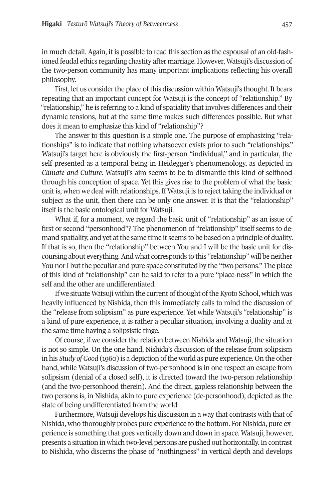in much detail. Again, it is possible to read this section as the espousal of an old-fashioned feudal ethics regarding chastity after marriage. However, Watsuji's discussion of the two-person community has many important implications reflecting his overall philosophy.

First, let us consider the place of this discussion within Watsuji's thought. It bears repeating that an important concept for Watsuji is the concept of "relationship." by "relationship," he is referring to a kind of spatiality that involves differences and their dynamic tensions, but at the same time makes such differences possible. but what does it mean to emphasize this kind of "relationship"?

The answer to this question is a simple one. The purpose of emphasizing "relationships" is to indicate that nothing whatsoever exists prior to such "relationships." Watsuji's target here is obviously the first-person "individual," and in particular, the self presented as a temporal being in Heidegger's phenomenology, as depicted in *Climate and Culture*. Watsuji's aim seems to be to dismantle this kind of selfhood through his conception of space. Yet this gives rise to the problem of what the basic unit is, when we deal with relationships. If Watsuji is to reject taking the individual or subject as the unit, then there can be only one answer. It is that the "relationship" itself is the basic ontological unit for Watsuji.

What if, for a moment, we regard the basic unit of "relationship" as an issue of first or second "personhood"? The phenomenon of "relationship" itself seems to demand spatiality, and yet at the same time it seems to be based on a principle of duality. If that is so, then the "relationship" between You and I will be the basic unit for discoursing about everything.And what corresponds to this "relationship" will be neither You nor I but the peculiar and pure space constituted by the "two persons." The place of this kind of "relationship" can be said to refer to a pure "place-ness" in which the self and the other are undifferentiated.

If we situate Watsuji within the current of thought of the Kyoto School, which was heavily influenced by Nishida, then this immediately calls to mind the discussion of the "release from solipsism" as pure experience. Yet while Watsuji's "relationship" is a kind of pure experience, it is rather a peculiar situation, involving a duality and at the same time having a solipsistic tinge.

Of course, if we consider the relation between Nishida and Watsuji, the situation is not so simple. On the one hand, Nishida's discussion of the release from solipsism in his *Study of Good* (1960) is a depiction of the world as pure experience. On the other hand, while Watsuji's discussion of two-personhood is in one respect an escape from solipsism (denial of a closed self), it is directed toward the two-person relationship (and the two-personhood therein). And the direct, gapless relationship between the two persons is, in Nishida, akin to pure experience (de-personhood), depicted as the state of being undifferentiated from the world.

Furthermore, Watsuji develops his discussion in a way that contrasts with that of Nishida, who thoroughly probes pure experience to the bottom. For Nishida, pure experience is something that goes vertically down and down in space. Watsuji, however, presents a situation in which two-level persons are pushed out horizontally.In contrast to Nishida, who discerns the phase of "nothingness" in vertical depth and develops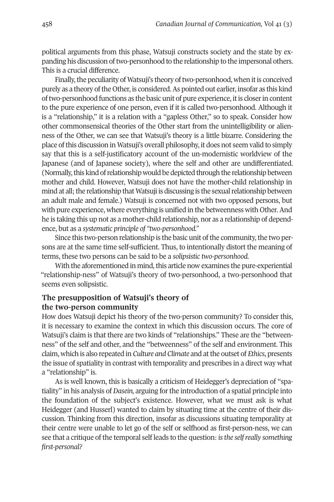political arguments from this phase, Watsuji constructs society and the state by expanding his discussion oftwo-personhood to the relationship to the impersonal others. This is a crucial difference.

Finally, the peculiarity of Watsuji's theory of two-personhood, when it is conceived purely as a theory of the Other, is considered. As pointed out earlier, insofar as this kind oftwo-personhood functions as the basic unit of pure experience, itis closerin content to the pure experience of one person, even if it is called two-personhood. Although it is a "relationship," it is a relation with a "gapless Other," so to speak. consider how other commonsensical theories of the Other start from the unintelligibility or alienness of the Other, we can see that Watsuji's theory is a little bizarre. considering the place ofthis discussion in Watsuji's overall philosophy, it does not seem valid to simply say that this is a self-justificatory account of the un-modernistic worldview of the Japanese (and of Japanese society), where the self and other are undifferentiated. (Normally, this kind of relationship would be depicted through the relationship between mother and child. However, Watsuji does not have the mother-child relationship in mind at all; the relationship that Watsuji is discussing is the sexual relationship between an adult male and female.) Watsuji is concerned not with two opposed persons, but with pure experience, where everything is unified in the betweenness with Other. And he is taking this up not as a mother-child relationship, nor as a relationship of dependence, but as a *systematic principle of "two-personhood."*

Since this two-person relationship is the basic unit of the community, the two persons are at the same time self-sufficient. Thus, to intentionally distort the meaning of terms, these two persons can be said to be a *solipsistic two-personhood.*

With the aforementioned in mind, this article now examines the pure-experiential "relationship-ness" of Watsuji's theory of two-personhood, a two-personhood that seems even solipsistic.

# **The presupposition of Watsuji's theory of the two-person community**

How does Watsuji depict his theory of the two-person community? To consider this, it is necessary to examine the context in which this discussion occurs. The core of Watsuji's claim is that there are two kinds of "relationships." These are the "betweenness" of the self and other, and the "betweenness" of the self and environment. This claim, which is also repeated in *Culture and Climate* and atthe outset of *Ethics*, presents the issue of spatiality in contrast with temporality and prescribes in a direct way what a "relationship" is.

As is well known, this is basically a criticism of Heidegger's depreciation of "spatiality" in his analysis of *Dasein,* arguing forthe introduction of a spatial principle into the foundation of the subject's existence. However, what we must ask is what Heidegger (and Husserl) wanted to claim by situating time at the centre of their discussion. Thinking from this direction, insofar as discussions situating temporality at their centre were unable to let go of the self or selfhood as first-person-ness, we can see that a critique of the temporal self leads to the question: *isthe selfreally something first-personal?*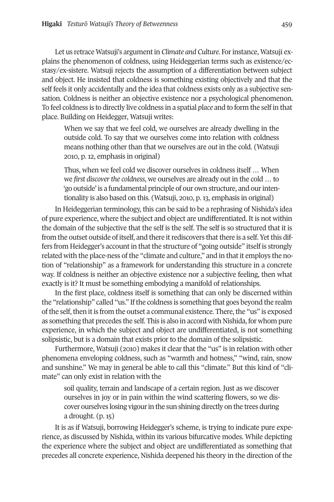Let us retrace Watsuji's argument in *Climate and Culture*. For instance, Watsuji explains the phenomenon of coldness, using Heideggerian terms such as existence/ecstasy/ex-sistere. Watsuji rejects the assumption of a differentiation between subject and object. He insisted that coldness is something existing objectively and that the self feels it only accidentally and the idea that coldness exists only as a subjective sensation. coldness is neither an objective existence nor a psychological phenomenon. To feel coldness is to directly live coldness in a spatial *place* and to form the self in that place. building on Heidegger, Watsuji writes:

When we say that we feel cold, we ourselves are already dwelling in the outside cold. To say that we ourselves come into relation with coldness means nothing other than that we ourselves are *out* in the cold. (Watsuji 2010, p. 12, emphasis in original)

Thus, when we feel cold we discover ourselves in coldness itself … When we *first discover the coldness*, we ourselves are already out in the cold ... to 'go outside' is a fundamental principle of our own structure, and ourintentionality is also based on this. (Watsuji, 2010, p. 13, emphasis in original)

In Heideggerian terminology, this can be said to be a rephrasing of Nishida's idea of pure experience, where the subject and object are undifferentiated. It is not within the domain of the subjective that the self is the self. The self is so structured that it is from the outset outside of itself, and there it rediscovers that there is a self. Yet this differs from Heidegger's account in that the structure of "going outside" itself is strongly related with the place-ness of the "climate and culture," and in that it employs the notion of "relationship" as a framework for understanding this structure in a concrete way. If coldness is neither an objective existence nor a subjective feeling, then what exactly is it? It must be something embodying a manifold of relationships.

In the first place, coldness itself is something that can only be discerned within the "relationship" called "us." Ifthe coldness is something that goes beyond the realm of the self, then it is from the outset a communal existence. There, the "us" is exposed as something that precedes the self. This is also in accord with Nishida, for whom pure experience, in which the subject and object are undifferentiated, is not something solipsistic, but is a domain that exists prior to the domain of the solipsistic.

Furthermore, Watsuji (2010) makes it clear that the "us" is in relation with other phenomena enveloping coldness, such as "warmth and hotness," "wind, rain, snow and sunshine." We may in general be able to call this "climate." but this kind of "climate" can only exist in relation with the

soil quality, terrain and landscape of a certain region. Just as we discover ourselves in joy or in pain within the wind scattering flowers, so we discover ourselves losing vigourin the sun shining directly on the trees during a drought. (p. 15)

It is as if Watsuji, borrowing Heidegger's scheme, is trying to indicate pure experience, as discussed by Nishida, within its various bifurcative modes. While depicting the experience where the subject and object are undifferentiated as something that precedes all concrete experience, Nishida deepened his theory in the direction of the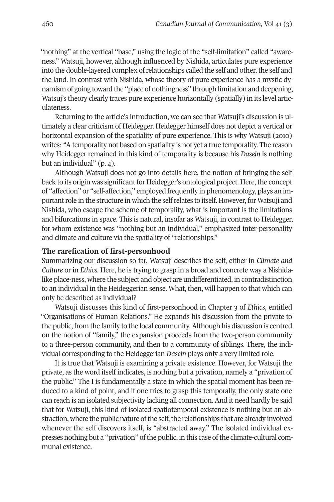"nothing" at the vertical "base," using the logic of the "self-limitation" called "awareness." Watsuji, however, although influenced by Nishida, articulates pure experience into the double-layered complex of relationships called the self and other, the self and the land. In contrast with Nishida, whose theory of pure experience has a mystic dynamism of going toward the "place of nothingness" through limitation and deepening, Watsuj's theory clearly traces pure experience horizontally (spatially) in its level articulateness.

Returning to the article's introduction, we can see that Watsuji's discussion is ultimately a clear criticism of Heidegger. Heidegger himself does not depict a vertical or horizontal expansion of the spatiality of pure experience. This is why Watsuji (2010) writes: "Atemporality not based on spatiality is not yet a true temporality. The reason why Heidegger remained in this kind of temporality is because his *Dasein* is nothing but an individual" (p. 4).

Although Watsuji does not go into details here, the notion of bringing the self back to its origin was significant for Heidegger's ontological project. Here, the concept of "affection" or "self-affection," employed frequently in phenomenology, plays an important role in the structure in which the self relates to itself. However, for Watsuji and Nishida, who escape the scheme of temporality, what is important is the limitations and bifurcations in space. This is natural, insofar as Watsuji, in contrast to Heidegger, for whom existence was "nothing but an individual," emphasized inter-personality and climate and culture via the spatiality of "relationships."

#### **The rarefication of first-personhood**

summarizing our discussion so far, Watsuji describes the self, either in *Climate and Culture* or in *Ethics*. Here, he is trying to grasp in a broad and concrete way a Nishidalike place-ness, where the subject and object are undifferentiated, in contradistinction to an individual in the Heideggerian sense. What, then, will happen to that which can only be described as individual?

Watsuji discusses this kind of first-personhood in chapter 3 of *Ethics*, entitled "Organisations of Human relations." He expands his discussion from the private to the public, from the family to the local community.Although his discussion is centred on the notion of "family," the expansion proceeds from the two-person community to a three-person community, and then to a community of siblings. There, the individual corresponding to the Heideggerian *Dasein* plays only a very limited role.

It is true that Watsuji is examining a private existence. However, for Watsuji the private, as the word itself indicates, is nothing but a privation, namely a "privation of the public." The I is fundamentally a state in which the spatial moment has been reduced to a kind of point, and if one tries to grasp this temporally, the only state one can reach is an isolated subjectivity lacking all connection. And it need hardly be said that for Watsuji, this kind of isolated spatiotemporal existence is nothing but an abstraction, where the public nature of the self, the relationships that are already involved whenever the self discovers itself, is "abstracted away." The isolated individual expresses nothing but a "privation" of the public, in this case of the climate-cultural communal existence.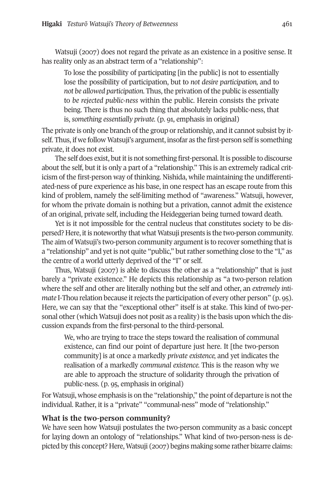Watsuji (2007) does not regard the private as an existence in a positive sense. It has reality only as an abstract term of a "relationship":

To lose the possibility of participating [in the public] is not to essentially lose the possibility of participation, but to *not desire participation,* and to *not be allowed participation.* Thus, the privation of the public is essentially to *be rejected public-ness* within the public. Herein consists the private being. There is thus no such thing that absolutely lacks public-ness, that is, *something essentially private.* (p. 91, emphasis in original)

The private is only one branch of the group or relationship, and it cannot subsist by itself. Thus, if we follow Watsuji's argument, insofar as the first-person self is something private, it does not exist.

The self does exist, but it is not something first-personal. It is possible to discourse about the self, but it is only a part of a "relationship." This is an extremely radical criticism of the first-person way of thinking. Nishida, while maintaining the undifferentiated-ness of pure experience as his base, in one respect has an escape route from this kind of problem, namely the self-limiting method of "awareness." Watsuji, however, for whom the private domain is nothing but a privation, cannot admit the existence of an original, private self, including the Heideggerian being turned toward death.

Yet is it not impossible for the central nucleus that constitutes society to be dispersed? Here, itis noteworthy that whatWatsuji presents is the two-person community. The aim of Watsuji's two-person community argument is to recover something that is a "relationship" and yet is not quite "public," but rather something close to the "I," as the centre of a world utterly deprived of the "I" or self.

Thus, Watsuji (2007) is able to discuss the other as a "relationship" that is just barely a "private existence." He depicts this relationship as "a two-person relation where the self and other are literally nothing but the self and other, an *extremely intimate* I-Thou relation because it rejects the participation of every other person" (p. 95). Here, we can say that the "exceptional other" itself is at stake. This kind of two-personal other (which Watsuji does not posit as a reality) is the basis upon which the discussion expands from the first-personal to the third-personal.

We, who are trying to trace the steps toward the realisation of communal existence, can find our point of departure just here. It [the two-person community] is at once a markedly *private existence,* and yet indicates the realisation of a markedly *communal existence.* This is the reason why we are able to approach the structure of solidarity through the privation of public-ness. (p. 95, emphasis in original)

For Watsuji, whose emphasis is on the "relationship," the point of departure is not the individual. Rather, it is a "private" "communal-ness" mode of "relationship."

# **What is the two-person community?**

We have seen how Watsuji postulates the two-person community as a basic concept for laying down an ontology of "relationships." What kind of two-person-ness is depicted by this concept? Here, Watsuji (2007) begins making some rather bizarre claims: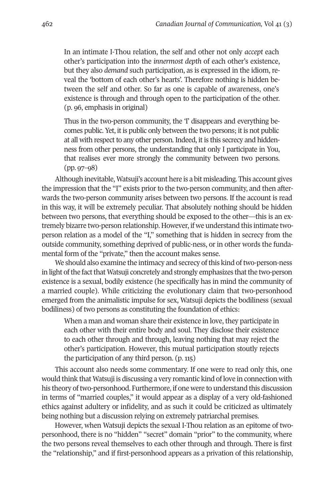In an intimate I-Thou relation, the self and other not only *accept* each other's participation into the *innermost depth* of each other's existence, but they also *demand* such participation, as is expressed in the idiom, reveal the 'bottom of each other's hearts'. Therefore nothing is hidden between the self and other. so far as one is capable of awareness, one's existence is through and through open to the participation of the other. (p. 96, emphasis in original)

Thus in the two-person community, the 'I' disappears and everything becomes public. Yet, it is public only between the two persons; it is not public at all with respect to any other person. Indeed, it is this secrecy and hiddenness from other persons, the understanding that only I participate in You, that realises ever more strongly the community between two persons. (pp. 97–98)

Although inevitable, Watsuji's account here is a bit misleading. This account gives the impression that the "I" exists prior to the two-person community, and then afterwards the two-person community arises between two persons. If the account is read in this way, it will be extremely peculiar. That absolutely nothing should be hidden between two persons, that everything should be exposed to the other—this is an extremely bizarre two-person relationship. However, if we understand this intimate twoperson relation as a model of the "I," something that is hidden in secrecy from the outside community, something deprived of public-ness, or in other words the fundamental form of the "private," then the account makes sense.

We should also examine the intimacy and secrecy of this kind of two-person-ness in light of the fact that Watsuji concretely and strongly emphasizes that the two-person existence is a sexual, bodily existence (he specifically has in mind the community of a married couple). While criticizing the evolutionary claim that two-personhood emerged from the animalistic impulse for sex, Watsuji depicts the bodiliness (sexual bodiliness) of two persons as constituting the foundation of ethics:

When a man and woman share their existence in love, they participate in each other with their entire body and soul. They disclose their existence to each other through and through, leaving nothing that may reject the other's participation. However, this mutual participation stoutly rejects the participation of any third person. (p. 115)

This account also needs some commentary. If one were to read only this, one would think that Watsuji is discussing a very romantic kind of love in connection with his theory of two-personhood. Furthermore, if one were to understand this discussion in terms of "married couples," it would appear as a display of a very old-fashioned ethics against adultery or infidelity, and as such it could be criticized as ultimately being nothing but a discussion relying on extremely patriarchal premises.

However, when Watsuji depicts the sexual I-Thou relation as an epitome of twopersonhood, there is no "hidden" "secret" domain "prior" to the community, where the two persons reveal themselves to each other through and through. There is first the "relationship," and if first-personhood appears as a privation of this relationship,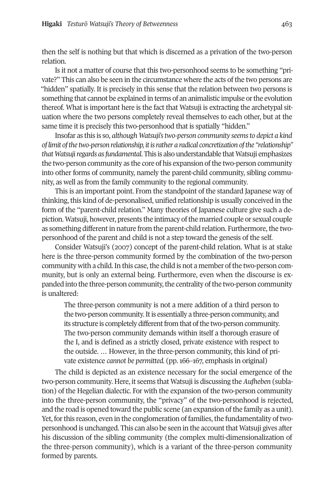then the self is nothing but that which is discerned as a privation of the two-person relation.

Is it not a matter of course that this two-personhood seems to be something "private?" This can also be seen in the circumstance where the acts of the two persons are "hidden" spatially. It is precisely in this sense that the relation between two persons is something that cannot be explained in terms of an animalistic impulse orthe evolution thereof. What is important here is the fact that Watsuji is extracting the archetypal situation where the two persons completely reveal themselves to each other, but at the same time it is precisely this two-personhood that is spatially "hidden."

Insofar as this is so, *although Watsuji'stwo-person community seemsto depict a kind of limit ofthe two-person relationship, itisrather a radical concretization ofthe "relationship" thatWatsujiregards asfundamental*.This is alsounderstandable thatWatsuji emphasizes the two-person community as the core of his expansion ofthe two-person community into other forms of community, namely the parent-child community, sibling community, as well as from the family community to the regional community.

This is an important point. From the standpoint of the standard Japanese way of thinking, this kind of de-personalised, unified relationship is usually conceived in the form of the "parent-child relation." Many theories of Japanese culture give such a depiction. Watsuji, however, presents the intimacy of the married couple or sexual couple as something different in nature from the parent-child relation. Furthermore, the twopersonhood of the parent and child is not a step toward the genesis of the self.

consider Watsuji's (2007) concept of the parent-child relation. What is at stake here is the three-person community formed by the combination of the two-person community with a child. In this case, the child is not a member of the two-person community, but is only an external being. Furthermore, even when the discourse is expanded into the three-person community, the centrality of the two-person community is unaltered:

The three-person community is not a mere addition of a third person to the two-person community. It is essentially a three-person community, and its structure is completely different from that of the two-person community. The two-person community demands within itself a thorough erasure of the I, and is defined as a strictly closed, private existence with respect to the outside. … However, in the three-person community, this kind of private existence *cannot be permitted.* (pp. 166–167, emphasis in original)

The child is depicted as an existence necessary for the social emergence of the two-person community. Here, it seems that Watsuji is discussing the *Aufheben* (sublation) of the Hegelian dialectic. For with the expansion of the two-person community into the three-person community, the "privacy" of the two-personhood is rejected, and the road is opened toward the public scene (an expansion ofthe family as a unit). Yet, for this reason, even in the conglomeration of families, the fundamentality of twopersonhood is unchanged. This can also be seen in the accountthat Watsuji gives after his discussion of the sibling community (the complex multi-dimensionalization of the three-person community), which is a variant of the three-person community formed by parents.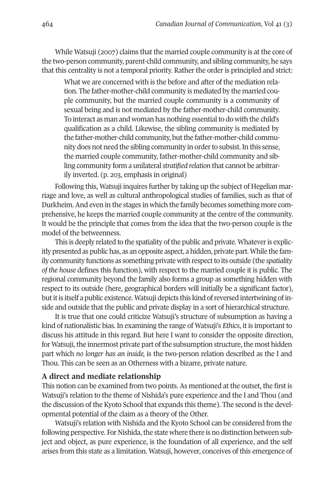While Watsuji (2007) claims that the married couple community is at the core of the two-person community, parent-child community, and sibling community, he says that this centrality is not a temporal priority. Rather the order is principled and strict:

What we are concerned with is the before and after of the mediation relation. The father-mother-child community is mediated by the married couple community, but the married couple community is a community of sexual being and is not mediated by the father-mother-child community. To interact as man and woman has nothing essential to do with the child's qualification as a child. Likewise, the sibling community is mediated by the father-mother-child community, but the father-mother-child community does not need the sibling community in order to subsist. In this sense, the married couple community, father-mother-child community and sibling community form a unilateral*stratified relation* that cannot be arbitrarily inverted. (p. 203, emphasis in original)

Following this, Watsuji inquires further by taking up the subject of Hegelian marriage and love, as well as cultural anthropological studies of families, such as that of Durkheim.And even in the stages in which the family becomes something more comprehensive, he keeps the married couple community at the centre of the community. It would be the principle that comes from the idea that the two-person couple is the model of the betweenness.

This is deeply related to the spatiality of the public and private. Whatever is explicitly presented as public has, as an opposite aspect, a hidden, private part. While the family community functions as something private with respect to its outside (the *spatiality of the house* defines this function), with respect to the married couple it is public. The regional community beyond the family also forms a group as something hidden with respect to its outside (here, geographical borders will initially be a significant factor), but it is itself a public existence. Watsuji depicts this kind of reversed intertwining of inside and outside that the public and private display in a sort of hierarchical structure.

It is true that one could criticize Watsuji's structure of subsumption as having a kind of nationalistic bias. In examining the range of Watsuji's *Ethics*, it is important to discuss his attitude in this regard. but here I want to consider the opposite direction, for Watsuji, the innermost private part of the subsumption structure, the most hidden part which *no longer has an inside,* is the two-person relation described as the I and Thou. This can be seen as an Otherness with a bizarre, private nature.

#### **A direct and mediate relationship**

This notion can be examined from two points. As mentioned at the outset, the first is Watsuji's relation to the theme of Nishida's pure experience and the I and Thou (and the discussion of the Kyoto school that expands this theme). The second is the developmental potential of the claim as a theory of the Other.

Watsuji's relation with Nishida and the Kyoto school can be considered from the following perspective. For Nishida, the state where there is no distinction between subject and object, as pure experience, is the foundation of all experience, and the self arises from this state as a limitation. Watsuji, however, conceives of this emergence of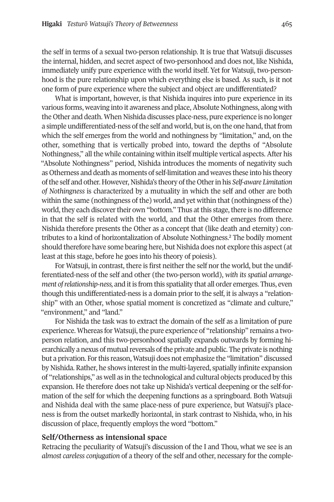the self in terms of a sexual two-person relationship. It is true that Watsuji discusses the internal, hidden, and secret aspect of two-personhood and does not, like Nishida, immediately unify pure experience with the world itself. Yet for Watsuji, two-personhood is the pure relationship upon which everything else is based. As such, is it not one form of pure experience where the subject and object are undifferentiated?

What is important, however, is that Nishida inquires into pure experience in its various forms, weaving into it awareness and place,Absolute Nothingness, along with the Other and death. When Nishida discusses place-ness, pure experience is no longer a simple undifferentiated-ness of the self and world, but is, on the one hand, that from which the self emerges from the world and nothingness by "limitation," and, on the other, something that is vertically probed into, toward the depths of "Absolute Nothingness," all the while containing within itself multiple vertical aspects. After his "Absolute Nothingness" period, Nishida introduces the moments of negativity such as Otherness and death as moments of self-limitation and weaves these into his theory ofthe self and other. However, Nishida's theory ofthe Otherin his *Self-aware Limitation of Nothingness* is characterized by a mutuality in which the self and other are both within the same (nothingness of the) world, and yet within that (nothingness of the) world, they each discover their own "bottom." Thus at this stage, there is no difference in that the self is related with the world, and that the Other emerges from there. Nishida therefore presents the Other as a concept that (like de[at](#page-12-1)h and eternity) contributes to a kind of horizontalization of Absolute Nothingness. <sup>2</sup> The bodily moment should therefore have some bearing here, but Nishida does not explore this aspect (at least at this stage, before he goes into his theory of poiesis).

For Watsuji, in contrast, there is first neither the self nor the world, but the undifferentiated-ness of the self and other (the two-person world), *with its spatial arrangement* of *relationship-ness*, and it is from this spatiality that all order emerges. Thus, even though this undifferentiated-ness is a domain prior to the self, it is always a "relationship" with an Other, whose spatial moment is concretized as "climate and culture," "environment," and "land."

For Nishida the task was to extract the domain of the self as a limitation of pure experience. Whereas for Watsuji, the pure experience of "relationship" remains a twoperson relation, and this two-personhood spatially expands outwards by forming hierarchically a nexus of mutual reversals of the private and public. The private is nothing but a privation. Forthis reason, Watsuji does not emphasize the "limitation" discussed by Nishida. Rather, he shows interest in the multi-layered, spatially infinite expansion of "relationships," as well as in the technological and cultural objects produced by this expansion. He therefore does not take up Nishida's vertical deepening or the self-formation of the self for which the deepening functions as a springboard. both Watsuji and Nishida deal with the same place-ness of pure experience, but Watsuji's placeness is from the outset markedly horizontal, in stark contrast to Nishida, who, in his discussion of place, frequently employs the word "bottom."

## **Self/Otherness as intensional space**

Retracing the peculiarity of Watsuji's discussion of the I and Thou, what we see is an *almost careless conjugation* of a theory of the self and other, necessary for the comple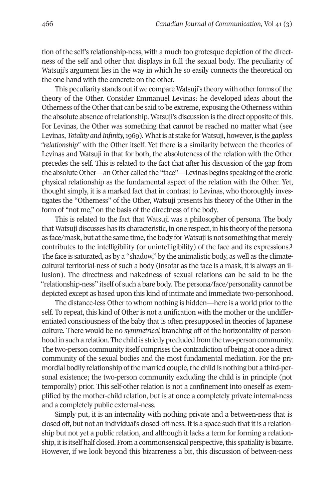tion of the self's relationship-ness, with a much too grotesque depiction of the directness of the self and other that displays in full the sexual body. The peculiarity of Watsuji's argument lies in the way in which he so easily connects the theoretical on the one hand with the concrete on the other.

This peculiarity stands out if we compare Watsuji's theory with other forms of the theory of the Other. consider Emmanuel Levinas: he developed ideas about the Otherness of the Other that can be said to be extreme, exposing the Otherness within the absolute absence of relationship. Watsuji's discussion is the direct opposite of this. For Levinas, the Other was something that cannot be reached no matter what (see Levinas, *Totality and Infinity,*1969). Whatis at stake for Watsuji, however, is the *gapless "relationship"* with the Other itself. Yet there is a similarity between the theories of Levinas and Watsuji in that for both, the absoluteness of the relation with the Other precedes the self. This is related to the fact that after his discussion of the gap from the absolute Other—an Other called the "face"—Levinas begins speaking ofthe erotic physical relationship as the fundamental aspect of the relation with the Other. Yet, thought simply, it is a marked fact that in contrast to Levinas, who thoroughly investigates the "Otherness" of the Other, Watsuji presents his theory of the Other in the form of "not me," on the basis of the directness of the body.

This is related to the fact that Watsuji was a philosopher of persona. The body that Watsuji discusses has its characteristic, in one respect, in his theory ofthe persona as face/mask, but at the same time, the bod[y](#page-12-2) for Watsuji is not something that merely contributes to the intelligibility (or unintelligibility) of the face and its expressions. 3 The face is saturated, as by a "shadow," by the animalistic body, as well as the climatecultural territorial-ness of such a body (insofar as the face is a mask, it is always an illusion). The directness and nakedness of sexual relations can be said to be the "relationship-ness" itself of such a bare body. The persona/face/personality cannot be depicted except as based upon this kind of intimate and immediate two-personhood.

The distance-less Other to whom nothing is hidden—here is a world prior to the self. To repeat, this kind of Other is not a unification with the mother or the undifferentiated consciousness of the baby that is often presupposed in theories of Japanese culture. There would be no *symmetrical* branching off of the horizontality of personhood in such a relation. The child is strictly precluded from the two-person community. The two-person community itself comprises the contradiction of being at once a direct community of the sexual bodies and the most fundamental mediation. For the primordial bodily relationship of the married couple, the child is nothing but a third-personal existence; the two-person community excluding the child is in principle (not temporally) prior. This self-other relation is not a confinement into oneself as exemplified by the mother-child relation, but is at once a completely private internal-ness and a completely public external-ness.

simply put, it is an internality with nothing private and a between-ness that is closed off, but not an individual's closed-off-ness. It is a space such that it is a relationship but not yet a public relation, and although it lacks a term for forming a relationship, it is itself half closed. From a commonsensical perspective, this spatiality is bizarre. However, if we look beyond this bizarreness a bit, this discussion of between-ness